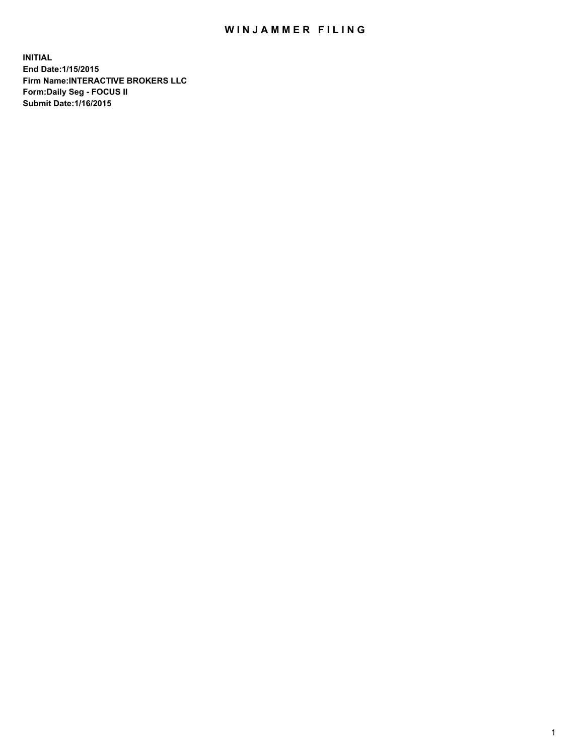## WIN JAMMER FILING

**INITIAL End Date:1/15/2015 Firm Name:INTERACTIVE BROKERS LLC Form:Daily Seg - FOCUS II Submit Date:1/16/2015**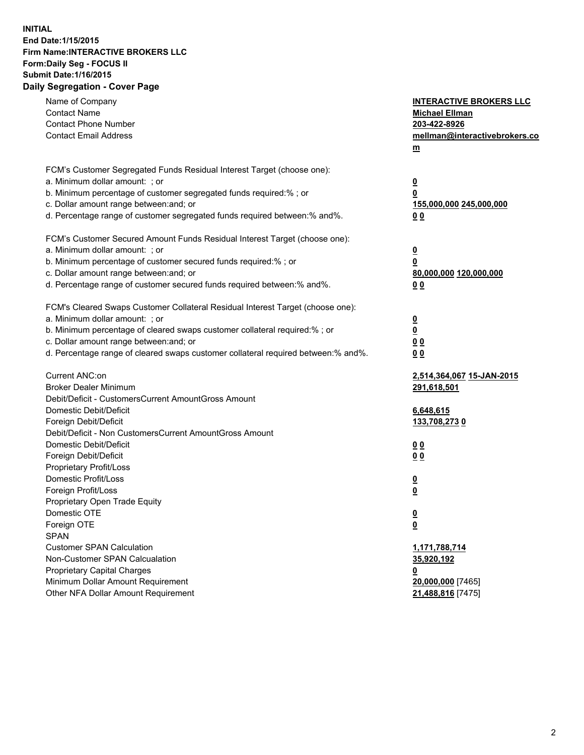## **INITIAL End Date:1/15/2015 Firm Name:INTERACTIVE BROKERS LLC Form:Daily Seg - FOCUS II Submit Date:1/16/2015 Daily Segregation - Cover Page**

| Name of Company<br><b>Contact Name</b><br><b>Contact Phone Number</b><br><b>Contact Email Address</b>    | <b>INTERACTIVE BROKERS LLC</b><br><b>Michael Ellman</b><br>203-422-8926<br>mellman@interactivebrokers.co<br>$m$ |
|----------------------------------------------------------------------------------------------------------|-----------------------------------------------------------------------------------------------------------------|
| FCM's Customer Segregated Funds Residual Interest Target (choose one):<br>a. Minimum dollar amount: ; or | $\overline{\mathbf{0}}$                                                                                         |
| b. Minimum percentage of customer segregated funds required:% ; or                                       | 0                                                                                                               |
| c. Dollar amount range between: and; or                                                                  | 155,000,000 245,000,000                                                                                         |
| d. Percentage range of customer segregated funds required between:% and%.                                | 0 <sub>0</sub>                                                                                                  |
| FCM's Customer Secured Amount Funds Residual Interest Target (choose one):                               |                                                                                                                 |
| a. Minimum dollar amount: ; or                                                                           | $\overline{\mathbf{0}}$                                                                                         |
| b. Minimum percentage of customer secured funds required:% ; or                                          | 0                                                                                                               |
| c. Dollar amount range between: and; or                                                                  | 80,000,000 120,000,000                                                                                          |
| d. Percentage range of customer secured funds required between:% and%.                                   | 0 <sub>0</sub>                                                                                                  |
| FCM's Cleared Swaps Customer Collateral Residual Interest Target (choose one):                           |                                                                                                                 |
| a. Minimum dollar amount: ; or                                                                           | $\overline{\mathbf{0}}$                                                                                         |
| b. Minimum percentage of cleared swaps customer collateral required:% ; or                               | $\overline{\mathbf{0}}$                                                                                         |
| c. Dollar amount range between: and; or                                                                  | 0 <sub>0</sub>                                                                                                  |
| d. Percentage range of cleared swaps customer collateral required between:% and%.                        | 0 <sub>0</sub>                                                                                                  |
| Current ANC:on                                                                                           | 2,514,364,067 15-JAN-2015                                                                                       |
| <b>Broker Dealer Minimum</b>                                                                             | 291,618,501                                                                                                     |
| Debit/Deficit - CustomersCurrent AmountGross Amount                                                      |                                                                                                                 |
| Domestic Debit/Deficit                                                                                   | 6,648,615                                                                                                       |
| Foreign Debit/Deficit                                                                                    | <u>133,708,2730</u>                                                                                             |
| Debit/Deficit - Non CustomersCurrent AmountGross Amount                                                  |                                                                                                                 |
| Domestic Debit/Deficit                                                                                   | 0 <sub>0</sub>                                                                                                  |
| Foreign Debit/Deficit                                                                                    | 0 <sub>0</sub>                                                                                                  |
| Proprietary Profit/Loss                                                                                  |                                                                                                                 |
| Domestic Profit/Loss<br>Foreign Profit/Loss                                                              | $\overline{\mathbf{0}}$                                                                                         |
| Proprietary Open Trade Equity                                                                            | $\underline{\mathbf{0}}$                                                                                        |
| Domestic OTE                                                                                             | <u>0</u>                                                                                                        |
| Foreign OTE                                                                                              | <u>0</u>                                                                                                        |
| <b>SPAN</b>                                                                                              |                                                                                                                 |
| <b>Customer SPAN Calculation</b>                                                                         | 1,171,788,714                                                                                                   |
| Non-Customer SPAN Calcualation                                                                           | 35,920,192                                                                                                      |
| Proprietary Capital Charges                                                                              | <u>0</u>                                                                                                        |
| Minimum Dollar Amount Requirement                                                                        | 20,000,000 [7465]                                                                                               |
| Other NFA Dollar Amount Requirement                                                                      | 21,488,816 [7475]                                                                                               |
|                                                                                                          |                                                                                                                 |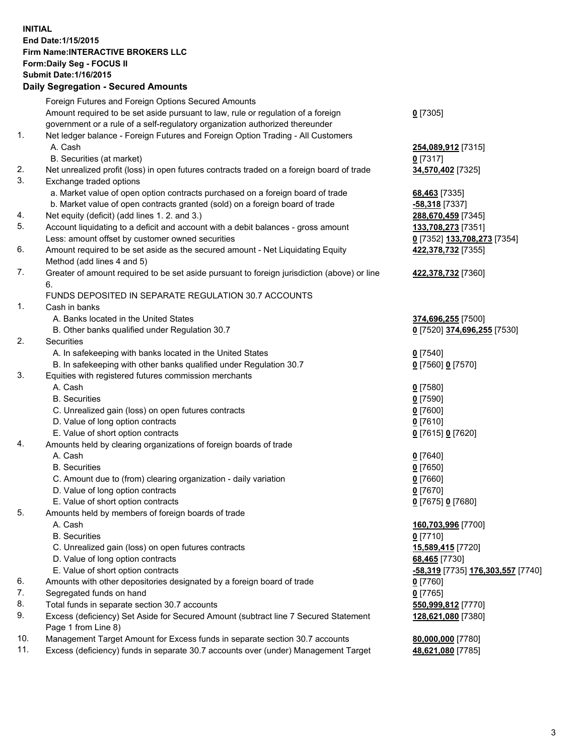## **INITIAL End Date:1/15/2015 Firm Name:INTERACTIVE BROKERS LLC Form:Daily Seg - FOCUS II Submit Date:1/16/2015 Daily Segregation - Secured Amounts**

|     | Daily Ocglegation - Occarea Anioants                                                        |                                   |
|-----|---------------------------------------------------------------------------------------------|-----------------------------------|
|     | Foreign Futures and Foreign Options Secured Amounts                                         |                                   |
|     | Amount required to be set aside pursuant to law, rule or regulation of a foreign            | $0$ [7305]                        |
|     | government or a rule of a self-regulatory organization authorized thereunder                |                                   |
| 1.  | Net ledger balance - Foreign Futures and Foreign Option Trading - All Customers             |                                   |
|     | A. Cash                                                                                     | 254,089,912 [7315]                |
|     | B. Securities (at market)                                                                   | $0$ [7317]                        |
| 2.  | Net unrealized profit (loss) in open futures contracts traded on a foreign board of trade   | 34,570,402 [7325]                 |
| 3.  | Exchange traded options                                                                     |                                   |
|     | a. Market value of open option contracts purchased on a foreign board of trade              | 68,463 [7335]                     |
|     | b. Market value of open contracts granted (sold) on a foreign board of trade                | -58,318 [7337]                    |
| 4.  | Net equity (deficit) (add lines 1. 2. and 3.)                                               | 288,670,459 [7345]                |
| 5.  | Account liquidating to a deficit and account with a debit balances - gross amount           | 133,708,273 [7351]                |
|     | Less: amount offset by customer owned securities                                            | 0 [7352] 133,708,273 [7354]       |
| 6.  | Amount required to be set aside as the secured amount - Net Liquidating Equity              | 422,378,732 [7355]                |
|     | Method (add lines 4 and 5)                                                                  |                                   |
| 7.  | Greater of amount required to be set aside pursuant to foreign jurisdiction (above) or line | 422,378,732 [7360]                |
|     | 6.                                                                                          |                                   |
|     | FUNDS DEPOSITED IN SEPARATE REGULATION 30.7 ACCOUNTS                                        |                                   |
| 1.  | Cash in banks                                                                               |                                   |
|     | A. Banks located in the United States                                                       | 374,696,255 [7500]                |
|     | B. Other banks qualified under Regulation 30.7                                              | 0 [7520] 374,696,255 [7530]       |
| 2.  | <b>Securities</b>                                                                           |                                   |
|     | A. In safekeeping with banks located in the United States                                   | $0$ [7540]                        |
|     | B. In safekeeping with other banks qualified under Regulation 30.7                          | 0 [7560] 0 [7570]                 |
| 3.  | Equities with registered futures commission merchants                                       |                                   |
|     | A. Cash                                                                                     | $0$ [7580]                        |
|     | <b>B.</b> Securities                                                                        | $0$ [7590]                        |
|     | C. Unrealized gain (loss) on open futures contracts                                         | $0$ [7600]                        |
|     | D. Value of long option contracts                                                           | $0$ [7610]                        |
|     | E. Value of short option contracts                                                          | 0 [7615] 0 [7620]                 |
| 4.  | Amounts held by clearing organizations of foreign boards of trade                           |                                   |
|     | A. Cash                                                                                     | $0$ [7640]                        |
|     | <b>B.</b> Securities                                                                        | $0$ [7650]                        |
|     | C. Amount due to (from) clearing organization - daily variation                             | $0$ [7660]                        |
|     | D. Value of long option contracts                                                           | $0$ [7670]                        |
|     | E. Value of short option contracts                                                          | 0 [7675] 0 [7680]                 |
| 5.  | Amounts held by members of foreign boards of trade                                          |                                   |
|     | A. Cash                                                                                     | 160,703,996 [7700]                |
|     | <b>B.</b> Securities                                                                        | $0$ [7710]                        |
|     | C. Unrealized gain (loss) on open futures contracts                                         | 15,589,415 [7720]                 |
|     | D. Value of long option contracts                                                           | 68,465 [7730]                     |
|     | E. Value of short option contracts                                                          | -58,319 [7735] 176,303,557 [7740] |
| 6.  | Amounts with other depositories designated by a foreign board of trade                      | 0 [7760]                          |
| 7.  | Segregated funds on hand                                                                    | $0$ [7765]                        |
| 8.  | Total funds in separate section 30.7 accounts                                               | 550,999,812 [7770]                |
| 9.  | Excess (deficiency) Set Aside for Secured Amount (subtract line 7 Secured Statement         | 128,621,080 [7380]                |
|     | Page 1 from Line 8)                                                                         |                                   |
| 10. | Management Target Amount for Excess funds in separate section 30.7 accounts                 | 80,000,000 [7780]                 |
| 11. | Excess (deficiency) funds in separate 30.7 accounts over (under) Management Target          | 48,621,080 [7785]                 |
|     |                                                                                             |                                   |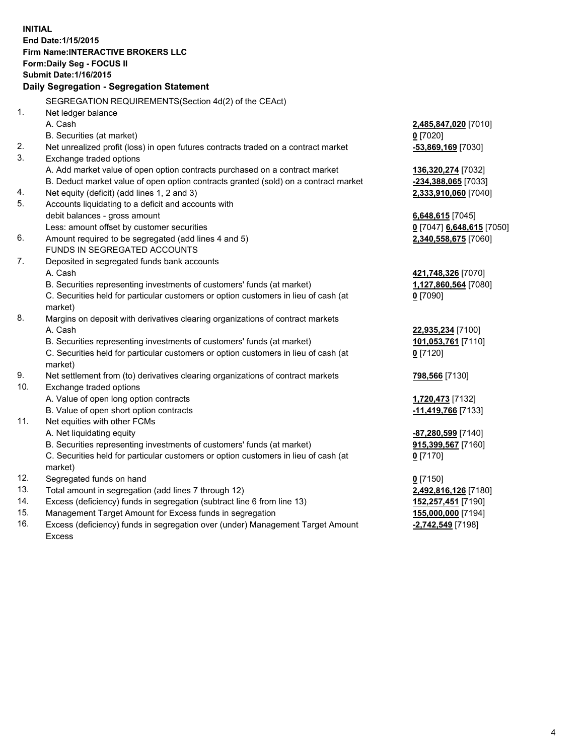**INITIAL End Date:1/15/2015 Firm Name:INTERACTIVE BROKERS LLC Form:Daily Seg - FOCUS II Submit Date:1/16/2015 Daily Segregation - Segregation Statement** SEGREGATION REQUIREMENTS(Section 4d(2) of the CEAct) 1. Net ledger balance A. Cash **2,485,847,020** [7010] B. Securities (at market) **0** [7020] 2. Net unrealized profit (loss) in open futures contracts traded on a contract market **-53,869,169** [7030] 3. Exchange traded options A. Add market value of open option contracts purchased on a contract market **136,320,274** [7032] B. Deduct market value of open option contracts granted (sold) on a contract market **-234,388,065** [7033] 4. Net equity (deficit) (add lines 1, 2 and 3) **2,333,910,060** [7040] 5. Accounts liquidating to a deficit and accounts with debit balances - gross amount **6,648,615** [7045] Less: amount offset by customer securities **0** [7047] **6,648,615** [7050] 6. Amount required to be segregated (add lines 4 and 5) **2,340,558,675** [7060] FUNDS IN SEGREGATED ACCOUNTS 7. Deposited in segregated funds bank accounts A. Cash **421,748,326** [7070] B. Securities representing investments of customers' funds (at market) **1,127,860,564** [7080] C. Securities held for particular customers or option customers in lieu of cash (at market) **0** [7090] 8. Margins on deposit with derivatives clearing organizations of contract markets A. Cash **22,935,234** [7100] B. Securities representing investments of customers' funds (at market) **101,053,761** [7110] C. Securities held for particular customers or option customers in lieu of cash (at market) **0** [7120] 9. Net settlement from (to) derivatives clearing organizations of contract markets **798,566** [7130] 10. Exchange traded options A. Value of open long option contracts **1,720,473** [7132] B. Value of open short option contracts **-11,419,766** [7133] 11. Net equities with other FCMs A. Net liquidating equity **-87,280,599** [7140] B. Securities representing investments of customers' funds (at market) **915,399,567** [7160] C. Securities held for particular customers or option customers in lieu of cash (at market) **0** [7170] 12. Segregated funds on hand **0** [7150] 13. Total amount in segregation (add lines 7 through 12) **2,492,816,126** [7180] 14. Excess (deficiency) funds in segregation (subtract line 6 from line 13) **152,257,451** [7190] 15. Management Target Amount for Excess funds in segregation **155,000,000** [7194]

16. Excess (deficiency) funds in segregation over (under) Management Target Amount Excess

**-2,742,549** [7198]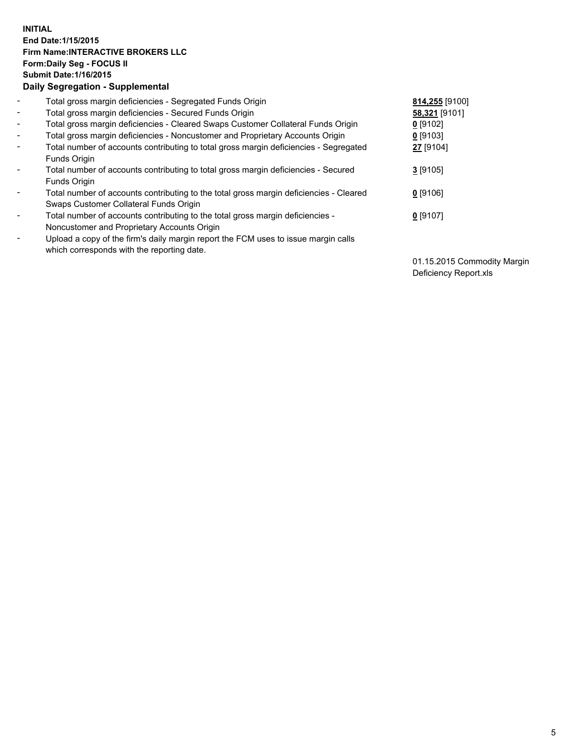## **INITIAL End Date:1/15/2015 Firm Name:INTERACTIVE BROKERS LLC Form:Daily Seg - FOCUS II Submit Date:1/16/2015 Daily Segregation - Supplemental**

| $\blacksquare$ | Total gross margin deficiencies - Segregated Funds Origin                              | 814,255 [9100] |
|----------------|----------------------------------------------------------------------------------------|----------------|
| ۰,             | Total gross margin deficiencies - Secured Funds Origin                                 | 58,321 [9101]  |
| Ξ.             | Total gross margin deficiencies - Cleared Swaps Customer Collateral Funds Origin       | $0$ [9102]     |
| $\blacksquare$ | Total gross margin deficiencies - Noncustomer and Proprietary Accounts Origin          | $0$ [9103]     |
| -              | Total number of accounts contributing to total gross margin deficiencies - Segregated  | 27 [9104]      |
|                | Funds Origin                                                                           |                |
| $\blacksquare$ | Total number of accounts contributing to total gross margin deficiencies - Secured     | $3$ [9105]     |
|                | Funds Origin                                                                           |                |
| ۰              | Total number of accounts contributing to the total gross margin deficiencies - Cleared | $0$ [9106]     |
|                | Swaps Customer Collateral Funds Origin                                                 |                |
|                | Total number of accounts contributing to the total gross margin deficiencies -         | $0$ [9107]     |
|                | Noncustomer and Proprietary Accounts Origin                                            |                |
| ۰              | Upload a copy of the firm's daily margin report the FCM uses to issue margin calls     |                |
|                | which corresponds with the reporting date.                                             |                |
|                |                                                                                        |                |

01.15.2015 Commodity Margin Deficiency Report.xls